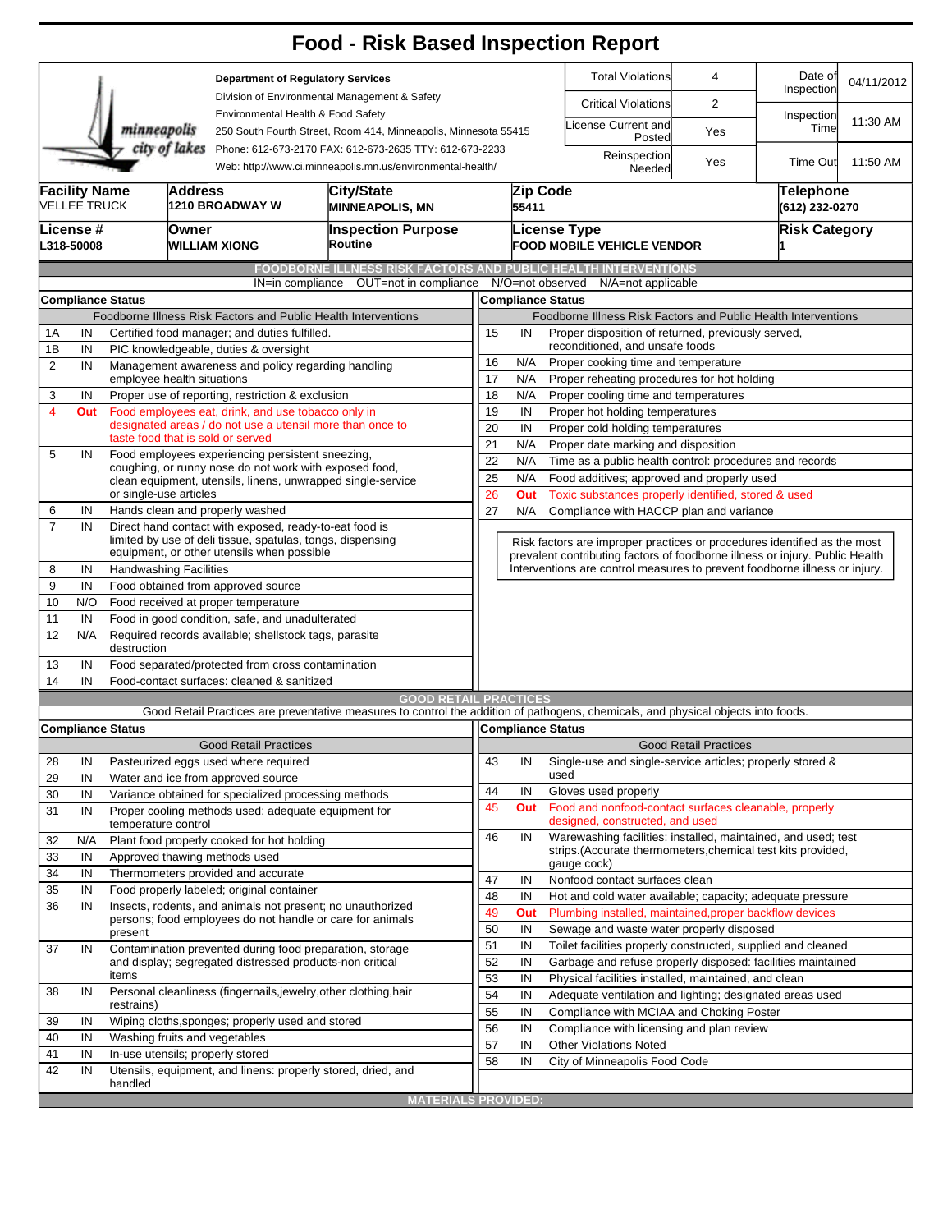|                |                                             |                                                                                                            |                |                                                                                                                         | <b>Food - Risk Based Inspection Report</b>                                                                                        |                                                                                                  |                                                                      |                                                                                                                               |                                                |                       |            |  |  |  |  |
|----------------|---------------------------------------------|------------------------------------------------------------------------------------------------------------|----------------|-------------------------------------------------------------------------------------------------------------------------|-----------------------------------------------------------------------------------------------------------------------------------|--------------------------------------------------------------------------------------------------|----------------------------------------------------------------------|-------------------------------------------------------------------------------------------------------------------------------|------------------------------------------------|-----------------------|------------|--|--|--|--|
|                |                                             |                                                                                                            |                | <b>Department of Regulatory Services</b>                                                                                |                                                                                                                                   |                                                                                                  |                                                                      | <b>Total Violations</b>                                                                                                       | 4                                              | Date of<br>Inspection | 04/11/2012 |  |  |  |  |
|                |                                             |                                                                                                            |                |                                                                                                                         | Division of Environmental Management & Safety                                                                                     |                                                                                                  |                                                                      | <b>Critical Violations</b>                                                                                                    | $\overline{2}$                                 |                       |            |  |  |  |  |
|                |                                             | minneapolis                                                                                                |                | Environmental Health & Food Safety                                                                                      | 250 South Fourth Street, Room 414, Minneapolis, Minnesota 55415                                                                   |                                                                                                  |                                                                      | icense Current and<br>Posted                                                                                                  | Yes                                            | Inspection<br>Time    | 11:30 AM   |  |  |  |  |
| city of lakes  |                                             |                                                                                                            |                |                                                                                                                         | Phone: 612-673-2170 FAX: 612-673-2635 TTY: 612-673-2233<br>Web: http://www.ci.minneapolis.mn.us/environmental-health/             |                                                                                                  | Reinspection<br>Needed                                               | Yes                                                                                                                           | <b>Time Out</b>                                | 11:50 AM              |            |  |  |  |  |
|                | <b>Facility Name</b><br><b>VELLEE TRUCK</b> |                                                                                                            | <b>Address</b> | 1210 BROADWAY W                                                                                                         | City/State<br><b>MINNEAPOLIS, MN</b>                                                                                              |                                                                                                  | Zip Code<br>55411                                                    | <b>Telephone</b><br>(612) 232-0270                                                                                            |                                                |                       |            |  |  |  |  |
|                | License #<br>L318-50008                     |                                                                                                            | <b>Owner</b>   | WILLIAM XIONG                                                                                                           | <b>Inspection Purpose</b><br>Routine                                                                                              |                                                                                                  |                                                                      | <b>License Type</b><br><b>FOOD MOBILE VEHICLE VENDOR</b>                                                                      |                                                | <b>Risk Category</b>  |            |  |  |  |  |
|                |                                             |                                                                                                            |                |                                                                                                                         | <b>FOODBORNE ILLNESS RISK FACTORS AND PUBLIC HEALTH INTERVENTIONS</b>                                                             |                                                                                                  |                                                                      |                                                                                                                               |                                                |                       |            |  |  |  |  |
|                |                                             |                                                                                                            |                | IN=in compliance                                                                                                        | OUT=not in compliance                                                                                                             |                                                                                                  |                                                                      | N/O=not observed<br>N/A=not applicable                                                                                        |                                                |                       |            |  |  |  |  |
|                |                                             | Compliance Status                                                                                          |                |                                                                                                                         |                                                                                                                                   |                                                                                                  |                                                                      | <b>Compliance Status</b>                                                                                                      |                                                |                       |            |  |  |  |  |
|                |                                             |                                                                                                            |                |                                                                                                                         | Foodborne Illness Risk Factors and Public Health Interventions                                                                    |                                                                                                  |                                                                      | Foodborne Illness Risk Factors and Public Health Interventions                                                                |                                                |                       |            |  |  |  |  |
| 1A             | IN                                          |                                                                                                            |                | Certified food manager; and duties fulfilled.                                                                           |                                                                                                                                   | Proper disposition of returned, previously served,<br>15<br>IN                                   |                                                                      |                                                                                                                               |                                                |                       |            |  |  |  |  |
| 1B             | IN                                          |                                                                                                            |                | PIC knowledgeable, duties & oversight                                                                                   |                                                                                                                                   | reconditioned, and unsafe foods                                                                  |                                                                      |                                                                                                                               |                                                |                       |            |  |  |  |  |
| 2              | IN                                          | employee health situations                                                                                 |                | Management awareness and policy regarding handling                                                                      |                                                                                                                                   | 16<br>N/A<br>Proper cooking time and temperature                                                 |                                                                      |                                                                                                                               |                                                |                       |            |  |  |  |  |
| 3              | IN                                          |                                                                                                            |                | Proper use of reporting, restriction & exclusion                                                                        |                                                                                                                                   | 17<br>N/A<br>Proper reheating procedures for hot holding                                         |                                                                      |                                                                                                                               |                                                |                       |            |  |  |  |  |
| 4              | Out                                         |                                                                                                            |                | Food employees eat, drink, and use tobacco only in                                                                      |                                                                                                                                   | 18<br>N/A<br>Proper cooling time and temperatures<br>19<br>IN<br>Proper hot holding temperatures |                                                                      |                                                                                                                               |                                                |                       |            |  |  |  |  |
|                |                                             |                                                                                                            |                |                                                                                                                         | designated areas / do not use a utensil more than once to                                                                         | 20<br>IN<br>Proper cold holding temperatures                                                     |                                                                      |                                                                                                                               |                                                |                       |            |  |  |  |  |
|                |                                             |                                                                                                            |                | taste food that is sold or served                                                                                       |                                                                                                                                   | 21<br>N/A<br>Proper date marking and disposition                                                 |                                                                      |                                                                                                                               |                                                |                       |            |  |  |  |  |
| 5              | IN                                          | Food employees experiencing persistent sneezing,<br>coughing, or runny nose do not work with exposed food, |                |                                                                                                                         |                                                                                                                                   |                                                                                                  | 22<br>N/A<br>Time as a public health control: procedures and records |                                                                                                                               |                                                |                       |            |  |  |  |  |
|                |                                             |                                                                                                            |                |                                                                                                                         | clean equipment, utensils, linens, unwrapped single-service                                                                       | 25                                                                                               | N/A<br>Food additives; approved and properly used                    |                                                                                                                               |                                                |                       |            |  |  |  |  |
|                |                                             | or single-use articles                                                                                     |                |                                                                                                                         |                                                                                                                                   | 26<br>Toxic substances properly identified, stored & used<br>Out                                 |                                                                      |                                                                                                                               |                                                |                       |            |  |  |  |  |
| 6              | IN                                          |                                                                                                            |                | Hands clean and properly washed                                                                                         |                                                                                                                                   | 27<br>N/A<br>Compliance with HACCP plan and variance                                             |                                                                      |                                                                                                                               |                                                |                       |            |  |  |  |  |
| $\overline{7}$ | IN                                          |                                                                                                            |                | Direct hand contact with exposed, ready-to-eat food is<br>limited by use of deli tissue, spatulas, tongs, dispensing    |                                                                                                                                   | Risk factors are improper practices or procedures identified as the most                         |                                                                      |                                                                                                                               |                                                |                       |            |  |  |  |  |
|                |                                             |                                                                                                            |                | equipment, or other utensils when possible                                                                              |                                                                                                                                   |                                                                                                  |                                                                      | prevalent contributing factors of foodborne illness or injury. Public Health                                                  |                                                |                       |            |  |  |  |  |
| 8              | IN                                          | <b>Handwashing Facilities</b>                                                                              |                |                                                                                                                         |                                                                                                                                   |                                                                                                  |                                                                      | Interventions are control measures to prevent foodborne illness or injury.                                                    |                                                |                       |            |  |  |  |  |
| 9              | IN                                          |                                                                                                            |                | Food obtained from approved source                                                                                      |                                                                                                                                   |                                                                                                  |                                                                      |                                                                                                                               |                                                |                       |            |  |  |  |  |
| 10             | N/O                                         |                                                                                                            |                | Food received at proper temperature                                                                                     |                                                                                                                                   |                                                                                                  |                                                                      |                                                                                                                               |                                                |                       |            |  |  |  |  |
| 11<br>12       | IN<br>N/A                                   | destruction                                                                                                |                | Food in good condition, safe, and unadulterated<br>Required records available; shellstock tags, parasite                |                                                                                                                                   |                                                                                                  |                                                                      |                                                                                                                               |                                                |                       |            |  |  |  |  |
| 13             | IN                                          |                                                                                                            |                | Food separated/protected from cross contamination                                                                       |                                                                                                                                   |                                                                                                  |                                                                      |                                                                                                                               |                                                |                       |            |  |  |  |  |
| 14             | IN                                          |                                                                                                            |                | Food-contact surfaces: cleaned & sanitized                                                                              |                                                                                                                                   |                                                                                                  |                                                                      |                                                                                                                               |                                                |                       |            |  |  |  |  |
|                |                                             |                                                                                                            |                |                                                                                                                         | <b>GOOD RETAIL PRACTICES</b>                                                                                                      |                                                                                                  |                                                                      |                                                                                                                               |                                                |                       |            |  |  |  |  |
|                |                                             |                                                                                                            |                |                                                                                                                         | Good Retail Practices are preventative measures to control the addition of pathogens, chemicals, and physical objects into foods. |                                                                                                  |                                                                      |                                                                                                                               |                                                |                       |            |  |  |  |  |
|                |                                             | <b>Compliance Status</b>                                                                                   |                |                                                                                                                         |                                                                                                                                   |                                                                                                  |                                                                      | Compliance Status                                                                                                             |                                                |                       |            |  |  |  |  |
|                |                                             |                                                                                                            |                | <b>Good Retail Practices</b>                                                                                            |                                                                                                                                   |                                                                                                  |                                                                      |                                                                                                                               | <b>Good Retail Practices</b>                   |                       |            |  |  |  |  |
| 28             | IN                                          |                                                                                                            |                | Pasteurized eggs used where required                                                                                    |                                                                                                                                   | 43                                                                                               | IN                                                                   | Single-use and single-service articles; properly stored &                                                                     |                                                |                       |            |  |  |  |  |
| 29             | IN                                          |                                                                                                            |                | Water and ice from approved source                                                                                      |                                                                                                                                   |                                                                                                  |                                                                      | used                                                                                                                          |                                                |                       |            |  |  |  |  |
| 30             | IN                                          |                                                                                                            |                | Variance obtained for specialized processing methods                                                                    |                                                                                                                                   | 44                                                                                               | IN                                                                   | Gloves used properly                                                                                                          |                                                |                       |            |  |  |  |  |
| 31             | IN                                          | temperature control                                                                                        |                | Proper cooling methods used; adequate equipment for                                                                     |                                                                                                                                   | 45                                                                                               | Out                                                                  | Food and nonfood-contact surfaces cleanable, properly<br>designed, constructed, and used                                      |                                                |                       |            |  |  |  |  |
| 32             | N/A                                         |                                                                                                            |                | Plant food properly cooked for hot holding                                                                              |                                                                                                                                   | 46                                                                                               | IN                                                                   | Warewashing facilities: installed, maintained, and used; test<br>strips. (Accurate thermometers, chemical test kits provided, |                                                |                       |            |  |  |  |  |
| 33             | IN                                          |                                                                                                            |                | Approved thawing methods used                                                                                           |                                                                                                                                   |                                                                                                  |                                                                      | gauge cock)                                                                                                                   |                                                |                       |            |  |  |  |  |
| 34             | IN                                          |                                                                                                            |                | Thermometers provided and accurate                                                                                      |                                                                                                                                   | 47                                                                                               | IN                                                                   | Nonfood contact surfaces clean                                                                                                |                                                |                       |            |  |  |  |  |
| 35             | IN                                          |                                                                                                            |                | Food properly labeled; original container                                                                               |                                                                                                                                   | 48                                                                                               | IN                                                                   | Hot and cold water available; capacity; adequate pressure                                                                     |                                                |                       |            |  |  |  |  |
| 36             | IN                                          |                                                                                                            |                | Insects, rodents, and animals not present; no unauthorized<br>persons; food employees do not handle or care for animals |                                                                                                                                   | 49                                                                                               | Out                                                                  | Plumbing installed, maintained, proper backflow devices                                                                       |                                                |                       |            |  |  |  |  |
|                |                                             | present                                                                                                    |                |                                                                                                                         |                                                                                                                                   | 50                                                                                               | IN                                                                   | Sewage and waste water properly disposed                                                                                      |                                                |                       |            |  |  |  |  |
| 37             | IN                                          |                                                                                                            |                |                                                                                                                         | Contamination prevented during food preparation, storage                                                                          | 51                                                                                               | IN                                                                   | Toilet facilities properly constructed, supplied and cleaned                                                                  |                                                |                       |            |  |  |  |  |
|                |                                             |                                                                                                            |                | and display; segregated distressed products-non critical                                                                |                                                                                                                                   | 52                                                                                               | IN                                                                   | Garbage and refuse properly disposed: facilities maintained                                                                   |                                                |                       |            |  |  |  |  |
|                |                                             | items                                                                                                      |                |                                                                                                                         |                                                                                                                                   | 53                                                                                               | IN                                                                   | Physical facilities installed, maintained, and clean                                                                          |                                                |                       |            |  |  |  |  |
| 38             | IN                                          |                                                                                                            |                | Personal cleanliness (fingernails, jewelry, other clothing, hair                                                        |                                                                                                                                   |                                                                                                  | IN                                                                   | Adequate ventilation and lighting; designated areas used                                                                      |                                                |                       |            |  |  |  |  |
|                |                                             | restrains)                                                                                                 |                |                                                                                                                         |                                                                                                                                   | 55                                                                                               |                                                                      |                                                                                                                               | Compliance with MCIAA and Choking Poster<br>IN |                       |            |  |  |  |  |
| 39<br>40       | IN<br>IN                                    |                                                                                                            |                | Wiping cloths, sponges; properly used and stored<br>Washing fruits and vegetables                                       |                                                                                                                                   | 56                                                                                               | IN                                                                   | Compliance with licensing and plan review                                                                                     |                                                |                       |            |  |  |  |  |
|                |                                             |                                                                                                            |                |                                                                                                                         |                                                                                                                                   | 57                                                                                               | IN                                                                   | <b>Other Violations Noted</b>                                                                                                 |                                                |                       |            |  |  |  |  |
| 41<br>42       | IN<br>IN                                    |                                                                                                            |                | In-use utensils; properly stored                                                                                        | Utensils, equipment, and linens: properly stored, dried, and                                                                      | 58                                                                                               | IN                                                                   | City of Minneapolis Food Code                                                                                                 |                                                |                       |            |  |  |  |  |
|                |                                             | handled                                                                                                    |                |                                                                                                                         |                                                                                                                                   |                                                                                                  |                                                                      |                                                                                                                               |                                                |                       |            |  |  |  |  |
|                |                                             |                                                                                                            |                |                                                                                                                         | <b>MATERIALS PROVIDED:</b>                                                                                                        |                                                                                                  |                                                                      |                                                                                                                               |                                                |                       |            |  |  |  |  |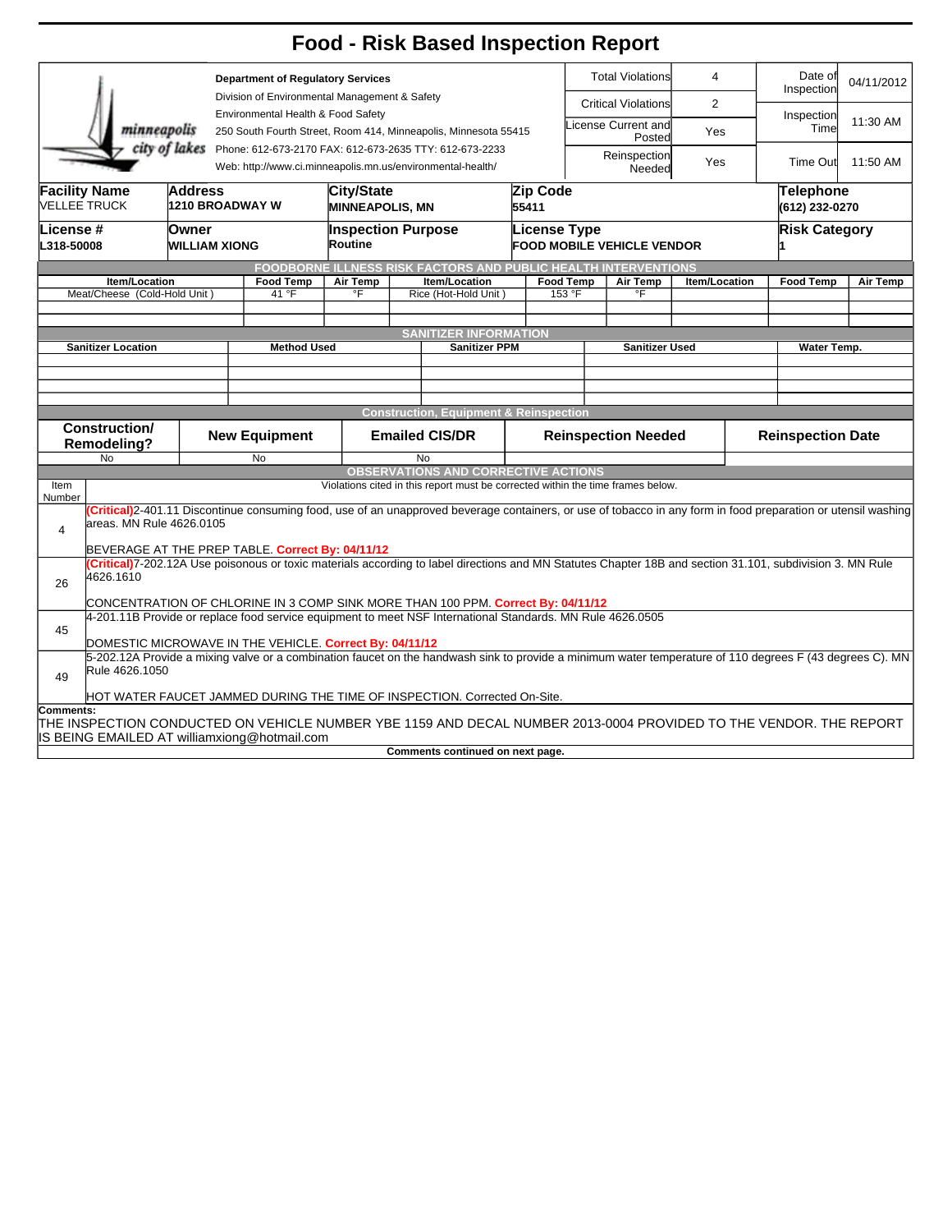|                                                   |                                                                                                                                                          |                                   |    |                           |                                                                                                                       |                                                         | <b>Food - Risk Based Inspection Report</b>                                                                                                                    |                               |                                                                                       |                       |                       |                          |                  |          |  |
|---------------------------------------------------|----------------------------------------------------------------------------------------------------------------------------------------------------------|-----------------------------------|----|---------------------------|-----------------------------------------------------------------------------------------------------------------------|---------------------------------------------------------|---------------------------------------------------------------------------------------------------------------------------------------------------------------|-------------------------------|---------------------------------------------------------------------------------------|-----------------------|-----------------------|--------------------------|------------------|----------|--|
| <b>Department of Regulatory Services</b>          |                                                                                                                                                          |                                   |    |                           |                                                                                                                       |                                                         |                                                                                                                                                               | <b>Total Violations</b>       |                                                                                       | $\overline{4}$        | Date of<br>Inspection |                          | 04/11/2012       |          |  |
|                                                   |                                                                                                                                                          |                                   |    |                           | Division of Environmental Management & Safety                                                                         |                                                         |                                                                                                                                                               |                               | <b>Critical Violations</b>                                                            |                       | 2                     |                          |                  |          |  |
| Environmental Health & Food Safety<br>minneapolis |                                                                                                                                                          |                                   |    |                           | 250 South Fourth Street, Room 414, Minneapolis, Minnesota 55415                                                       |                                                         |                                                                                                                                                               | License Current and<br>Posted |                                                                                       | Yes                   |                       | Inspection<br>Time       | 11:30 AM         |          |  |
| city of lakes                                     |                                                                                                                                                          |                                   |    |                           | Phone: 612-673-2170 FAX: 612-673-2635 TTY: 612-673-2233<br>Web: http://www.ci.minneapolis.mn.us/environmental-health/ |                                                         |                                                                                                                                                               |                               | Reinspection<br>Yes<br>Needed                                                         |                       |                       |                          | Time Out         | 11:50 AM |  |
|                                                   |                                                                                                                                                          |                                   |    |                           | City/State<br>Zip Code                                                                                                |                                                         |                                                                                                                                                               |                               |                                                                                       |                       |                       |                          | Telephone        |          |  |
|                                                   | <b>Facility Name</b><br><b>VELLEE TRUCK</b>                                                                                                              | Address<br><b>1210 BROADWAY W</b> |    |                           | <b>MINNEAPOLIS, MN</b>                                                                                                |                                                         |                                                                                                                                                               | 55411                         |                                                                                       |                       |                       |                          | (612) 232-0270   |          |  |
| License #<br>L318-50008                           |                                                                                                                                                          | Owner<br><b>WILLIAM XIONG</b>     |    |                           | <b>Inspection Purpose</b><br>Routine                                                                                  |                                                         |                                                                                                                                                               |                               | <b>Risk Category</b><br><b>License Type</b><br><b>FOOD MOBILE VEHICLE VENDOR</b><br>и |                       |                       |                          |                  |          |  |
|                                                   |                                                                                                                                                          |                                   |    |                           |                                                                                                                       |                                                         | FOODBORNE ILLNESS RISK FACTORS AND PUBLIC HEALTH INTERVENTIONS                                                                                                |                               |                                                                                       |                       |                       |                          |                  |          |  |
|                                                   | Item/Location<br>Meat/Cheese (Cold-Hold Unit)                                                                                                            |                                   |    | <b>Food Temp</b><br>41 °F | Air Temp<br>°F                                                                                                        |                                                         | Item/Location<br>Rice (Hot-Hold Unit)                                                                                                                         |                               | <b>Food Temp</b><br>153 °F                                                            | Air Temp<br>°F        | Item/Location         |                          | <b>Food Temp</b> | Air Temp |  |
|                                                   |                                                                                                                                                          |                                   |    |                           |                                                                                                                       |                                                         |                                                                                                                                                               |                               |                                                                                       |                       |                       |                          |                  |          |  |
|                                                   |                                                                                                                                                          |                                   |    |                           |                                                                                                                       |                                                         |                                                                                                                                                               |                               |                                                                                       |                       |                       |                          |                  |          |  |
|                                                   | <b>Sanitizer Location</b>                                                                                                                                |                                   |    | <b>Method Used</b>        |                                                                                                                       |                                                         | <b>SANITIZER INFORMATION</b><br><b>Sanitizer PPM</b>                                                                                                          |                               |                                                                                       | <b>Sanitizer Used</b> |                       |                          | Water Temp.      |          |  |
|                                                   |                                                                                                                                                          |                                   |    |                           |                                                                                                                       |                                                         |                                                                                                                                                               |                               |                                                                                       |                       |                       |                          |                  |          |  |
|                                                   |                                                                                                                                                          |                                   |    |                           |                                                                                                                       |                                                         |                                                                                                                                                               |                               |                                                                                       |                       |                       |                          |                  |          |  |
|                                                   |                                                                                                                                                          |                                   |    |                           |                                                                                                                       |                                                         |                                                                                                                                                               |                               |                                                                                       |                       |                       |                          |                  |          |  |
|                                                   |                                                                                                                                                          |                                   |    |                           |                                                                                                                       |                                                         | <b>Construction, Equipment &amp; Reinspection</b>                                                                                                             |                               |                                                                                       |                       |                       |                          |                  |          |  |
|                                                   | <b>Construction/</b><br><b>Remodeling?</b>                                                                                                               | <b>New Equipment</b>              |    |                           | <b>Emailed CIS/DR</b>                                                                                                 |                                                         |                                                                                                                                                               | <b>Reinspection Needed</b>    |                                                                                       |                       |                       | <b>Reinspection Date</b> |                  |          |  |
|                                                   | <b>No</b>                                                                                                                                                |                                   | No |                           |                                                                                                                       | <b>No</b><br><b>OBSERVATIONS AND CORRECTIVE ACTIONS</b> |                                                                                                                                                               |                               |                                                                                       |                       |                       |                          |                  |          |  |
| Item                                              |                                                                                                                                                          |                                   |    |                           |                                                                                                                       |                                                         | Violations cited in this report must be corrected within the time frames below.                                                                               |                               |                                                                                       |                       |                       |                          |                  |          |  |
| Number                                            |                                                                                                                                                          |                                   |    |                           |                                                                                                                       |                                                         |                                                                                                                                                               |                               |                                                                                       |                       |                       |                          |                  |          |  |
| 4                                                 | areas. MN Rule 4626.0105                                                                                                                                 |                                   |    |                           |                                                                                                                       |                                                         | (Critical)2-401.11 Discontinue consuming food, use of an unapproved beverage containers, or use of tobacco in any form in food preparation or utensil washing |                               |                                                                                       |                       |                       |                          |                  |          |  |
|                                                   | BEVERAGE AT THE PREP TABLE. Correct By: 04/11/12                                                                                                         |                                   |    |                           |                                                                                                                       |                                                         |                                                                                                                                                               |                               |                                                                                       |                       |                       |                          |                  |          |  |
| 26                                                | 4626.1610                                                                                                                                                |                                   |    |                           |                                                                                                                       |                                                         | (Critical)7-202.12A Use poisonous or toxic materials according to label directions and MN Statutes Chapter 18B and section 31.101, subdivision 3. MN Rule     |                               |                                                                                       |                       |                       |                          |                  |          |  |
|                                                   | CONCENTRATION OF CHLORINE IN 3 COMP SINK MORE THAN 100 PPM. Correct By: 04/11/12                                                                         |                                   |    |                           |                                                                                                                       |                                                         |                                                                                                                                                               |                               |                                                                                       |                       |                       |                          |                  |          |  |
|                                                   | 4-201.11B Provide or replace food service equipment to meet NSF International Standards. MN Rule 4626.0505                                               |                                   |    |                           |                                                                                                                       |                                                         |                                                                                                                                                               |                               |                                                                                       |                       |                       |                          |                  |          |  |
| 45                                                | DOMESTIC MICROWAVE IN THE VEHICLE. Correct By: 04/11/12                                                                                                  |                                   |    |                           |                                                                                                                       |                                                         |                                                                                                                                                               |                               |                                                                                       |                       |                       |                          |                  |          |  |
| 49                                                | 5-202.12A Provide a mixing valve or a combination faucet on the handwash sink to provide a minimum water temperature of 110 degrees F (43 degrees C). MN |                                   |    |                           |                                                                                                                       |                                                         |                                                                                                                                                               |                               |                                                                                       |                       |                       |                          |                  |          |  |
|                                                   | Rule 4626.1050                                                                                                                                           |                                   |    |                           |                                                                                                                       |                                                         |                                                                                                                                                               |                               |                                                                                       |                       |                       |                          |                  |          |  |
|                                                   | HOT WATER FAUCET JAMMED DURING THE TIME OF INSPECTION. Corrected On-Site.                                                                                |                                   |    |                           |                                                                                                                       |                                                         |                                                                                                                                                               |                               |                                                                                       |                       |                       |                          |                  |          |  |
| <b>Comments:</b>                                  | IS BEING EMAILED AT williamxiong@hotmail.com                                                                                                             |                                   |    |                           |                                                                                                                       |                                                         | THE INSPECTION CONDUCTED ON VEHICLE NUMBER YBE 1159 AND DECAL NUMBER 2013-0004 PROVIDED TO THE VENDOR. THE REPORT                                             |                               |                                                                                       |                       |                       |                          |                  |          |  |
|                                                   |                                                                                                                                                          |                                   |    |                           |                                                                                                                       |                                                         | Comments continued on next page.                                                                                                                              |                               |                                                                                       |                       |                       |                          |                  |          |  |